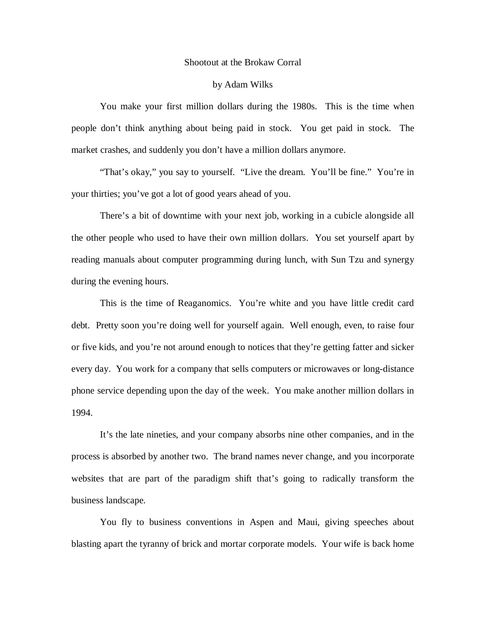## Shootout at the Brokaw Corral

## by Adam Wilks

 You make your first million dollars during the 1980s. This is the time when people don't think anything about being paid in stock. You get paid in stock. The market crashes, and suddenly you don't have a million dollars anymore.

 "That's okay," you say to yourself. "Live the dream. You'll be fine." You're in your thirties; you've got a lot of good years ahead of you.

 There's a bit of downtime with your next job, working in a cubicle alongside all the other people who used to have their own million dollars. You set yourself apart by reading manuals about computer programming during lunch, with Sun Tzu and synergy during the evening hours.

 This is the time of Reaganomics. You're white and you have little credit card debt. Pretty soon you're doing well for yourself again. Well enough, even, to raise four or five kids, and you're not around enough to notices that they're getting fatter and sicker every day. You work for a company that sells computers or microwaves or long-distance phone service depending upon the day of the week. You make another million dollars in 1994.

 It's the late nineties, and your company absorbs nine other companies, and in the process is absorbed by another two. The brand names never change, and you incorporate websites that are part of the paradigm shift that's going to radically transform the business landscape.

 You fly to business conventions in Aspen and Maui, giving speeches about blasting apart the tyranny of brick and mortar corporate models. Your wife is back home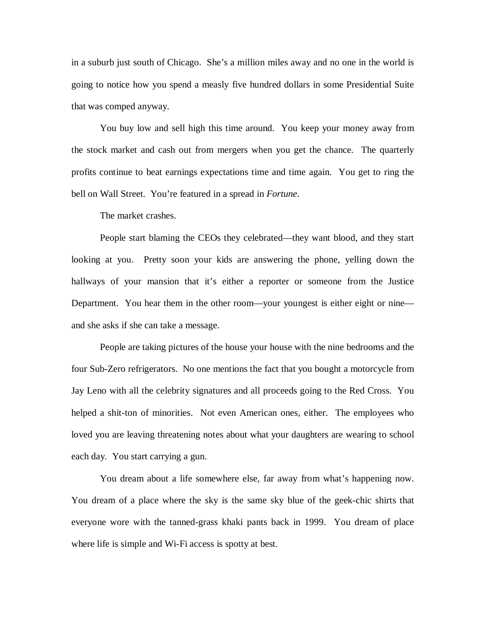in a suburb just south of Chicago. She's a million miles away and no one in the world is going to notice how you spend a measly five hundred dollars in some Presidential Suite that was comped anyway.

 You buy low and sell high this time around. You keep your money away from the stock market and cash out from mergers when you get the chance. The quarterly profits continue to beat earnings expectations time and time again. You get to ring the bell on Wall Street. You're featured in a spread in *Fortune*.

The market crashes.

 People start blaming the CEOs they celebrated—they want blood, and they start looking at you. Pretty soon your kids are answering the phone, yelling down the hallways of your mansion that it's either a reporter or someone from the Justice Department. You hear them in the other room—your youngest is either eight or nine and she asks if she can take a message.

 People are taking pictures of the house your house with the nine bedrooms and the four Sub-Zero refrigerators. No one mentions the fact that you bought a motorcycle from Jay Leno with all the celebrity signatures and all proceeds going to the Red Cross. You helped a shit-ton of minorities. Not even American ones, either. The employees who loved you are leaving threatening notes about what your daughters are wearing to school each day. You start carrying a gun.

 You dream about a life somewhere else, far away from what's happening now. You dream of a place where the sky is the same sky blue of the geek-chic shirts that everyone wore with the tanned-grass khaki pants back in 1999. You dream of place where life is simple and Wi-Fi access is spotty at best.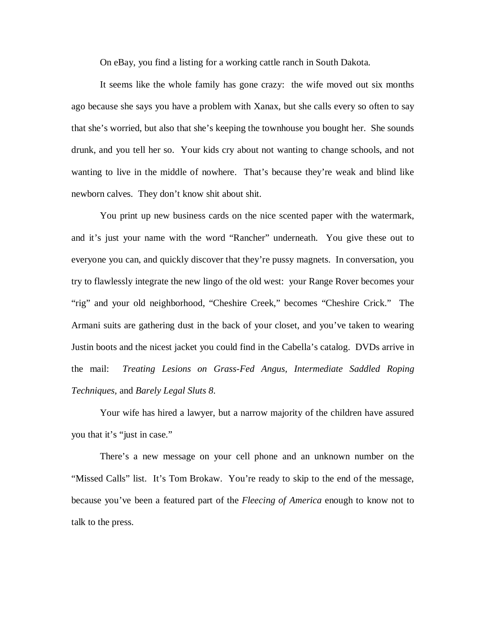On eBay, you find a listing for a working cattle ranch in South Dakota.

 It seems like the whole family has gone crazy: the wife moved out six months ago because she says you have a problem with Xanax, but she calls every so often to say that she's worried, but also that she's keeping the townhouse you bought her. She sounds drunk, and you tell her so. Your kids cry about not wanting to change schools, and not wanting to live in the middle of nowhere. That's because they're weak and blind like newborn calves. They don't know shit about shit.

 You print up new business cards on the nice scented paper with the watermark, and it's just your name with the word "Rancher" underneath. You give these out to everyone you can, and quickly discover that they're pussy magnets. In conversation, you try to flawlessly integrate the new lingo of the old west: your Range Rover becomes your "rig" and your old neighborhood, "Cheshire Creek," becomes "Cheshire Crick." The Armani suits are gathering dust in the back of your closet, and you've taken to wearing Justin boots and the nicest jacket you could find in the Cabella's catalog. DVDs arrive in the mail: *Treating Lesions on Grass-Fed Angus, Intermediate Saddled Roping Techniques,* and *Barely Legal Sluts 8*.

 Your wife has hired a lawyer, but a narrow majority of the children have assured you that it's "just in case."

 There's a new message on your cell phone and an unknown number on the "Missed Calls" list. It's Tom Brokaw. You're ready to skip to the end of the message, because you've been a featured part of the *Fleecing of America* enough to know not to talk to the press.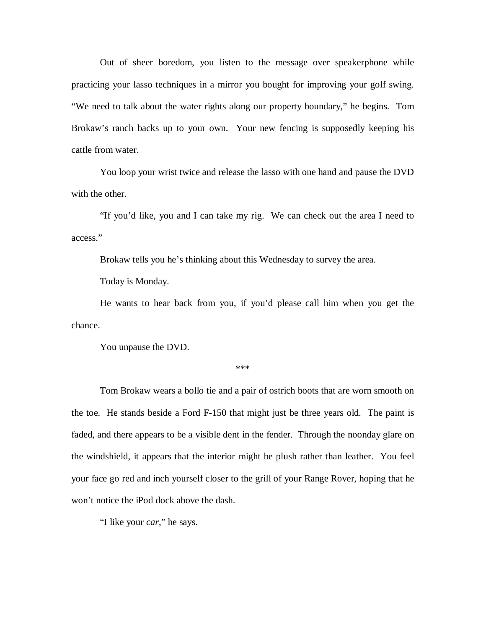Out of sheer boredom, you listen to the message over speakerphone while practicing your lasso techniques in a mirror you bought for improving your golf swing. "We need to talk about the water rights along our property boundary," he begins. Tom Brokaw's ranch backs up to your own. Your new fencing is supposedly keeping his cattle from water.

 You loop your wrist twice and release the lasso with one hand and pause the DVD with the other.

 "If you'd like, you and I can take my rig. We can check out the area I need to access."

Brokaw tells you he's thinking about this Wednesday to survey the area.

Today is Monday.

 He wants to hear back from you, if you'd please call him when you get the chance.

You unpause the DVD.

\*\*\*

 Tom Brokaw wears a bollo tie and a pair of ostrich boots that are worn smooth on the toe. He stands beside a Ford F-150 that might just be three years old. The paint is faded, and there appears to be a visible dent in the fender. Through the noonday glare on the windshield, it appears that the interior might be plush rather than leather. You feel your face go red and inch yourself closer to the grill of your Range Rover, hoping that he won't notice the iPod dock above the dash.

"I like your *car*," he says.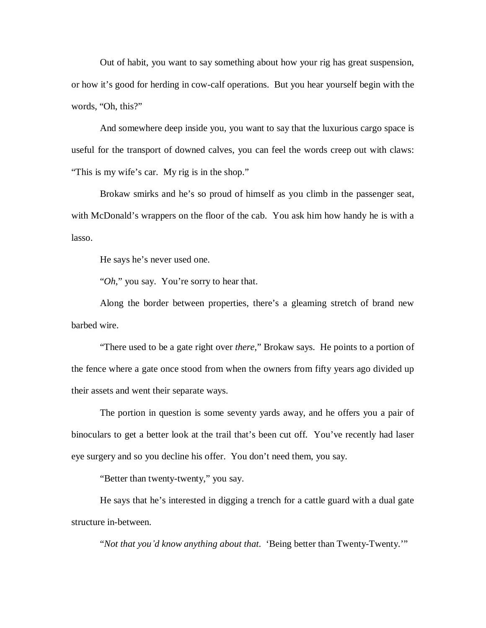Out of habit, you want to say something about how your rig has great suspension, or how it's good for herding in cow-calf operations. But you hear yourself begin with the words, "Oh, this?"

 And somewhere deep inside you, you want to say that the luxurious cargo space is useful for the transport of downed calves, you can feel the words creep out with claws: "This is my wife's car. My rig is in the shop."

 Brokaw smirks and he's so proud of himself as you climb in the passenger seat, with McDonald's wrappers on the floor of the cab. You ask him how handy he is with a lasso.

He says he's never used one.

"*Oh*," you say. You're sorry to hear that.

 Along the border between properties, there's a gleaming stretch of brand new barbed wire.

"There used to be a gate right over *there*," Brokaw says. He points to a portion of the fence where a gate once stood from when the owners from fifty years ago divided up their assets and went their separate ways.

The portion in question is some seventy yards away, and he offers you a pair of binoculars to get a better look at the trail that's been cut off. You've recently had laser eye surgery and so you decline his offer. You don't need them, you say.

"Better than twenty-twenty," you say.

He says that he's interested in digging a trench for a cattle guard with a dual gate structure in-between.

"*Not that you'd know anything about that.* 'Being better than Twenty-Twenty.'"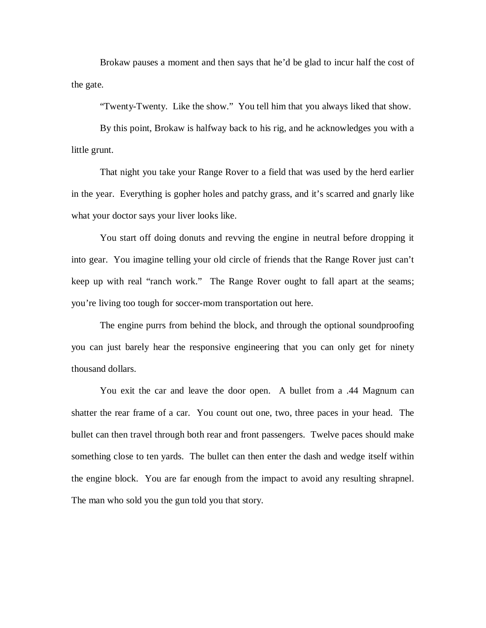Brokaw pauses a moment and then says that he'd be glad to incur half the cost of the gate.

"Twenty-Twenty. Like the show." You tell him that you always liked that show.

By this point, Brokaw is halfway back to his rig, and he acknowledges you with a little grunt.

That night you take your Range Rover to a field that was used by the herd earlier in the year. Everything is gopher holes and patchy grass, and it's scarred and gnarly like what your doctor says your liver looks like.

You start off doing donuts and revving the engine in neutral before dropping it into gear. You imagine telling your old circle of friends that the Range Rover just can't keep up with real "ranch work." The Range Rover ought to fall apart at the seams; you're living too tough for soccer-mom transportation out here.

The engine purrs from behind the block, and through the optional soundproofing you can just barely hear the responsive engineering that you can only get for ninety thousand dollars.

You exit the car and leave the door open. A bullet from a .44 Magnum can shatter the rear frame of a car. You count out one, two, three paces in your head. The bullet can then travel through both rear and front passengers. Twelve paces should make something close to ten yards. The bullet can then enter the dash and wedge itself within the engine block. You are far enough from the impact to avoid any resulting shrapnel. The man who sold you the gun told you that story.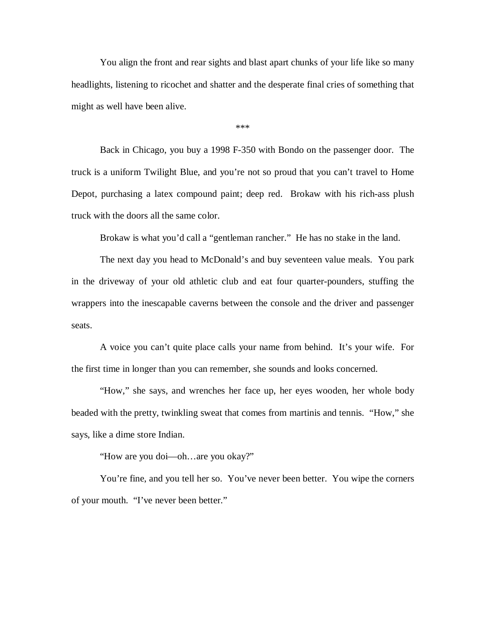You align the front and rear sights and blast apart chunks of your life like so many headlights, listening to ricochet and shatter and the desperate final cries of something that might as well have been alive.

\*\*\*

 Back in Chicago, you buy a 1998 F-350 with Bondo on the passenger door. The truck is a uniform Twilight Blue, and you're not so proud that you can't travel to Home Depot, purchasing a latex compound paint; deep red. Brokaw with his rich-ass plush truck with the doors all the same color.

Brokaw is what you'd call a "gentleman rancher." He has no stake in the land.

 The next day you head to McDonald's and buy seventeen value meals. You park in the driveway of your old athletic club and eat four quarter-pounders, stuffing the wrappers into the inescapable caverns between the console and the driver and passenger seats.

 A voice you can't quite place calls your name from behind. It's your wife. For the first time in longer than you can remember, she sounds and looks concerned.

 "How," she says, and wrenches her face up, her eyes wooden, her whole body beaded with the pretty, twinkling sweat that comes from martinis and tennis. "How," she says, like a dime store Indian.

"How are you doi—oh…are you okay?"

 You're fine, and you tell her so. You've never been better. You wipe the corners of your mouth. "I've never been better."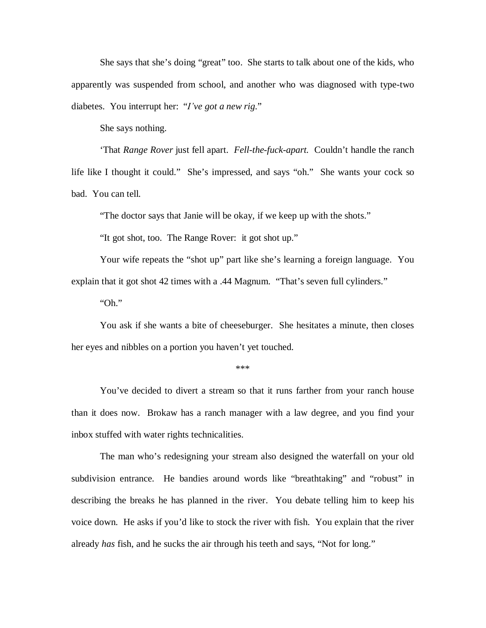She says that she's doing "great" too. She starts to talk about one of the kids, who apparently was suspended from school, and another who was diagnosed with type-two diabetes. You interrupt her: "*I've got a new rig*."

She says nothing.

 'That *Range Rover* just fell apart. *Fell-the-fuck-apart.* Couldn't handle the ranch life like I thought it could." She's impressed, and says "oh." She wants your cock so bad. You can tell.

"The doctor says that Janie will be okay, if we keep up with the shots."

"It got shot, too. The Range Rover: it got shot up."

 Your wife repeats the "shot up" part like she's learning a foreign language. You explain that it got shot 42 times with a .44 Magnum. "That's seven full cylinders."

"Oh."

 You ask if she wants a bite of cheeseburger. She hesitates a minute, then closes her eyes and nibbles on a portion you haven't yet touched.

\*\*\*

 You've decided to divert a stream so that it runs farther from your ranch house than it does now. Brokaw has a ranch manager with a law degree, and you find your inbox stuffed with water rights technicalities.

 The man who's redesigning your stream also designed the waterfall on your old subdivision entrance. He bandies around words like "breathtaking" and "robust" in describing the breaks he has planned in the river. You debate telling him to keep his voice down. He asks if you'd like to stock the river with fish. You explain that the river already *has* fish, and he sucks the air through his teeth and says, "Not for long."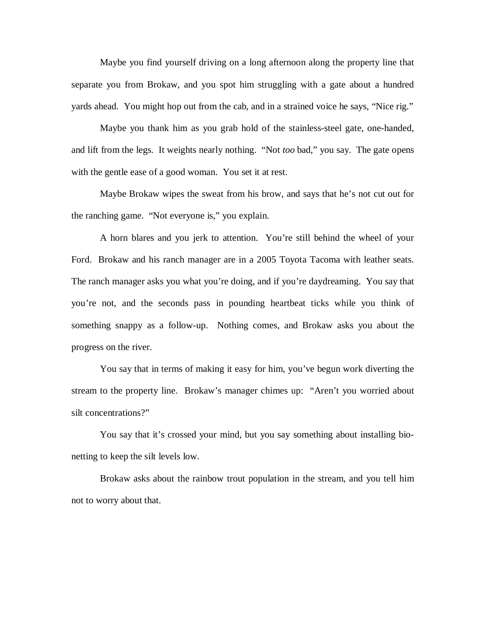Maybe you find yourself driving on a long afternoon along the property line that separate you from Brokaw, and you spot him struggling with a gate about a hundred yards ahead. You might hop out from the cab, and in a strained voice he says, "Nice rig."

 Maybe you thank him as you grab hold of the stainless-steel gate, one-handed, and lift from the legs. It weights nearly nothing. "Not *too* bad," you say. The gate opens with the gentle ease of a good woman. You set it at rest.

 Maybe Brokaw wipes the sweat from his brow, and says that he's not cut out for the ranching game. "Not everyone is," you explain.

 A horn blares and you jerk to attention. You're still behind the wheel of your Ford. Brokaw and his ranch manager are in a 2005 Toyota Tacoma with leather seats. The ranch manager asks you what you're doing, and if you're daydreaming. You say that you're not, and the seconds pass in pounding heartbeat ticks while you think of something snappy as a follow-up. Nothing comes, and Brokaw asks you about the progress on the river.

 You say that in terms of making it easy for him, you've begun work diverting the stream to the property line. Brokaw's manager chimes up: "Aren't you worried about silt concentrations?"

 You say that it's crossed your mind, but you say something about installing bionetting to keep the silt levels low.

 Brokaw asks about the rainbow trout population in the stream, and you tell him not to worry about that.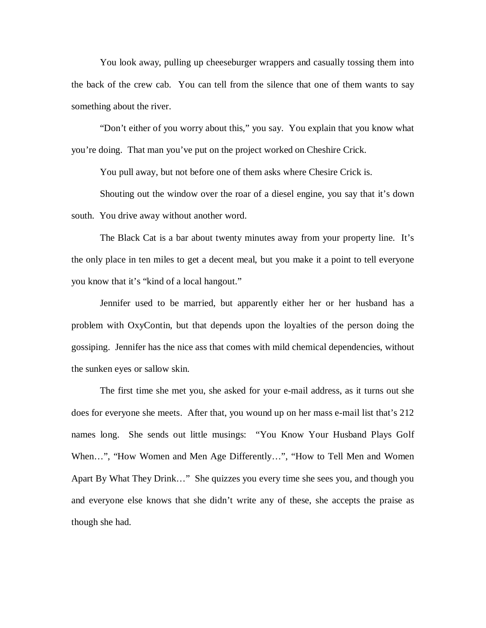You look away, pulling up cheeseburger wrappers and casually tossing them into the back of the crew cab. You can tell from the silence that one of them wants to say something about the river.

 "Don't either of you worry about this," you say. You explain that you know what you're doing. That man you've put on the project worked on Cheshire Crick.

You pull away, but not before one of them asks where Chesire Crick is.

 Shouting out the window over the roar of a diesel engine, you say that it's down south. You drive away without another word.

 The Black Cat is a bar about twenty minutes away from your property line. It's the only place in ten miles to get a decent meal, but you make it a point to tell everyone you know that it's "kind of a local hangout."

 Jennifer used to be married, but apparently either her or her husband has a problem with OxyContin, but that depends upon the loyalties of the person doing the gossiping. Jennifer has the nice ass that comes with mild chemical dependencies, without the sunken eyes or sallow skin.

 The first time she met you, she asked for your e-mail address, as it turns out she does for everyone she meets. After that, you wound up on her mass e-mail list that's 212 names long. She sends out little musings: "You Know Your Husband Plays Golf When…", "How Women and Men Age Differently…", "How to Tell Men and Women Apart By What They Drink…" She quizzes you every time she sees you, and though you and everyone else knows that she didn't write any of these, she accepts the praise as though she had.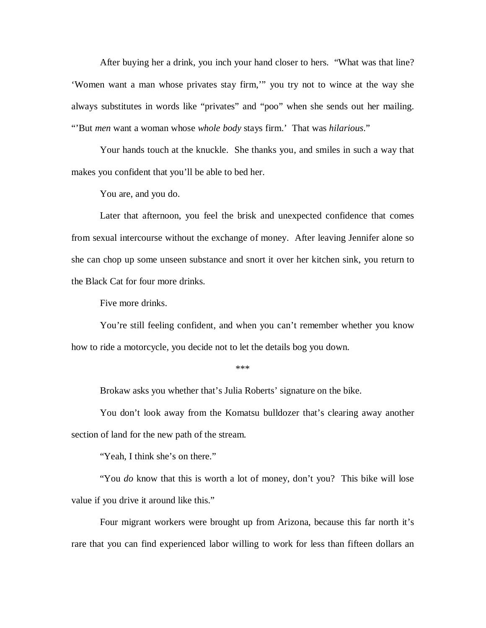After buying her a drink, you inch your hand closer to hers. "What was that line? 'Women want a man whose privates stay firm,'" you try not to wince at the way she always substitutes in words like "privates" and "poo" when she sends out her mailing. "'But *men* want a woman whose *whole body* stays firm.' That was *hilarious*."

 Your hands touch at the knuckle. She thanks you, and smiles in such a way that makes you confident that you'll be able to bed her.

You are, and you do.

 Later that afternoon, you feel the brisk and unexpected confidence that comes from sexual intercourse without the exchange of money. After leaving Jennifer alone so she can chop up some unseen substance and snort it over her kitchen sink, you return to the Black Cat for four more drinks.

Five more drinks.

 You're still feeling confident, and when you can't remember whether you know how to ride a motorcycle, you decide not to let the details bog you down.

\*\*\*

Brokaw asks you whether that's Julia Roberts' signature on the bike.

You don't look away from the Komatsu bulldozer that's clearing away another section of land for the new path of the stream.

"Yeah, I think she's on there."

 "You *do* know that this is worth a lot of money, don't you? This bike will lose value if you drive it around like this."

 Four migrant workers were brought up from Arizona, because this far north it's rare that you can find experienced labor willing to work for less than fifteen dollars an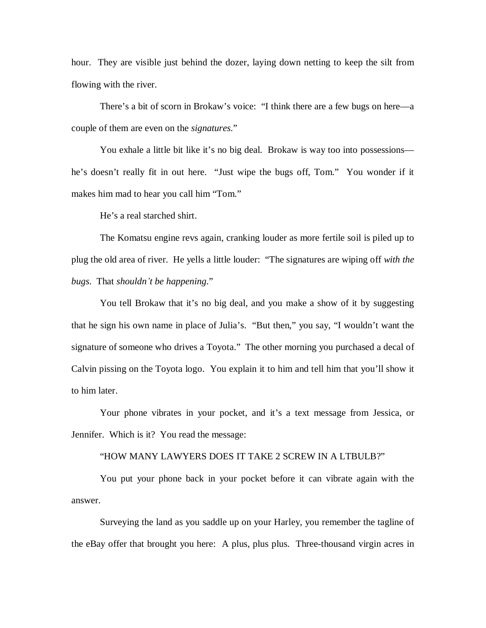hour. They are visible just behind the dozer, laying down netting to keep the silt from flowing with the river.

 There's a bit of scorn in Brokaw's voice: "I think there are a few bugs on here—a couple of them are even on the *signatures*."

 You exhale a little bit like it's no big deal. Brokaw is way too into possessions he's doesn't really fit in out here. "Just wipe the bugs off, Tom." You wonder if it makes him mad to hear you call him "Tom."

He's a real starched shirt.

 The Komatsu engine revs again, cranking louder as more fertile soil is piled up to plug the old area of river. He yells a little louder: "The signatures are wiping off *with the bugs*. That *shouldn¶t be happening*."

 You tell Brokaw that it's no big deal, and you make a show of it by suggesting that he sign his own name in place of Julia's. "But then," you say, "I wouldn't want the signature of someone who drives a Toyota." The other morning you purchased a decal of Calvin pissing on the Toyota logo. You explain it to him and tell him that you'll show it to him later.

 Your phone vibrates in your pocket, and it's a text message from Jessica, or Jennifer. Which is it? You read the message:

## "HOW MANY LAWYERS DOES IT TAKE 2 SCREW IN A LTBULB?"

 You put your phone back in your pocket before it can vibrate again with the answer.

 Surveying the land as you saddle up on your Harley, you remember the tagline of the eBay offer that brought you here: A plus, plus plus. Three-thousand virgin acres in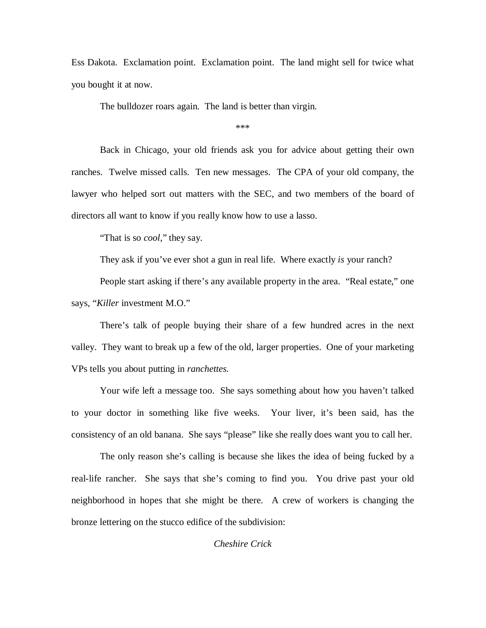Ess Dakota. Exclamation point. Exclamation point. The land might sell for twice what you bought it at now.

The bulldozer roars again. The land is better than virgin.

\*\*\*

 Back in Chicago, your old friends ask you for advice about getting their own ranches. Twelve missed calls. Ten new messages. The CPA of your old company, the lawyer who helped sort out matters with the SEC, and two members of the board of directors all want to know if you really know how to use a lasso.

"That is so *cool*," they say.

They ask if you've ever shot a gun in real life. Where exactly *is* your ranch?

 People start asking if there's any available property in the area. "Real estate," one says, "*Killer* investment M.O."

 There's talk of people buying their share of a few hundred acres in the next valley. They want to break up a few of the old, larger properties. One of your marketing VPs tells you about putting in *ranchettes.*

 Your wife left a message too. She says something about how you haven't talked to your doctor in something like five weeks. Your liver, it's been said, has the consistency of an old banana. She says "please" like she really does want you to call her.

 The only reason she's calling is because she likes the idea of being fucked by a real-life rancher. She says that she's coming to find you. You drive past your old neighborhood in hopes that she might be there. A crew of workers is changing the bronze lettering on the stucco edifice of the subdivision:

## *Cheshire Crick*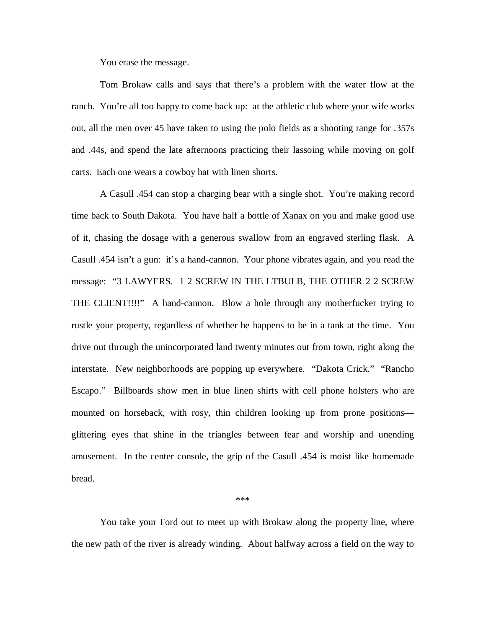You erase the message.

 Tom Brokaw calls and says that there's a problem with the water flow at the ranch. You're all too happy to come back up: at the athletic club where your wife works out, all the men over 45 have taken to using the polo fields as a shooting range for .357s and .44s, and spend the late afternoons practicing their lassoing while moving on golf carts. Each one wears a cowboy hat with linen shorts.

 A Casull .454 can stop a charging bear with a single shot. You're making record time back to South Dakota. You have half a bottle of Xanax on you and make good use of it, chasing the dosage with a generous swallow from an engraved sterling flask. A Casull .454 isn't a gun: it's a hand-cannon. Your phone vibrates again, and you read the message: "3 LAWYERS. 1 2 SCREW IN THE LTBULB, THE OTHER 2 2 SCREW THE CLIENT!!!!" A hand-cannon. Blow a hole through any motherfucker trying to rustle your property, regardless of whether he happens to be in a tank at the time. You drive out through the unincorporated land twenty minutes out from town, right along the interstate. New neighborhoods are popping up everywhere. "Dakota Crick." "Rancho Escapo." Billboards show men in blue linen shirts with cell phone holsters who are mounted on horseback, with rosy, thin children looking up from prone positions glittering eyes that shine in the triangles between fear and worship and unending amusement. In the center console, the grip of the Casull .454 is moist like homemade bread.

\*\*\*

 You take your Ford out to meet up with Brokaw along the property line, where the new path of the river is already winding. About halfway across a field on the way to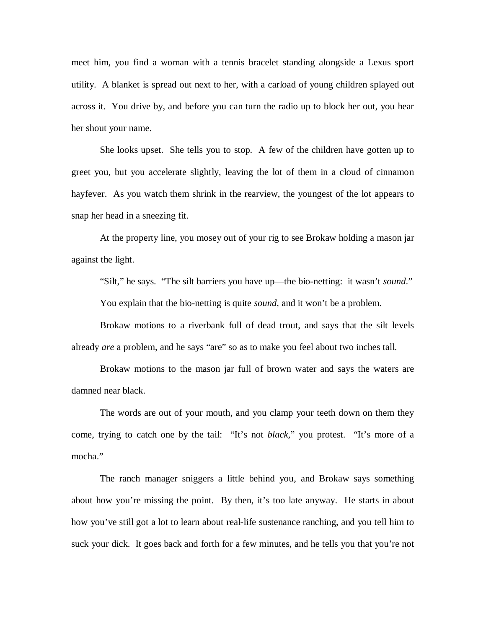meet him, you find a woman with a tennis bracelet standing alongside a Lexus sport utility. A blanket is spread out next to her, with a carload of young children splayed out across it. You drive by, and before you can turn the radio up to block her out, you hear her shout your name.

 She looks upset. She tells you to stop. A few of the children have gotten up to greet you, but you accelerate slightly, leaving the lot of them in a cloud of cinnamon hayfever. As you watch them shrink in the rearview, the youngest of the lot appears to snap her head in a sneezing fit.

 At the property line, you mosey out of your rig to see Brokaw holding a mason jar against the light.

"Silt," he says. "The silt barriers you have up—the bio-netting: it wasn't *sound*."

You explain that the bio-netting is quite *sound,* and it won't be a problem.

 Brokaw motions to a riverbank full of dead trout, and says that the silt levels already *are* a problem, and he says "are" so as to make you feel about two inches tall.

 Brokaw motions to the mason jar full of brown water and says the waters are damned near black.

 The words are out of your mouth, and you clamp your teeth down on them they come, trying to catch one by the tail: "It's not *black,*" you protest. "It's more of a mocha."

 The ranch manager sniggers a little behind you, and Brokaw says something about how you're missing the point. By then, it's too late anyway. He starts in about how you've still got a lot to learn about real-life sustenance ranching, and you tell him to suck your dick. It goes back and forth for a few minutes, and he tells you that you're not